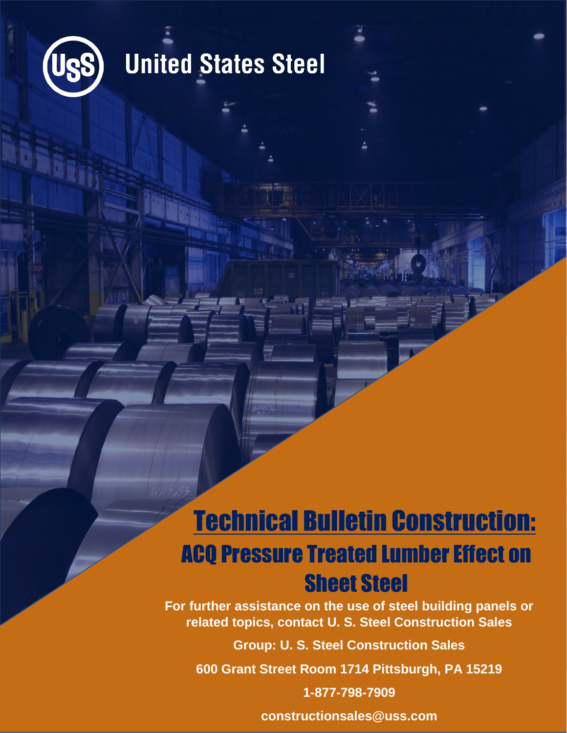

## **United States Steel**

## Technical Bulletin Construction: ACQ Pressure Treated Lumber Effect on Sheet Steel

**For further assistance on the use of steel building panels or related topics, contact U. S. Steel Construction Sales**

**Group: U. S. Steel Construction Sales**

**600 Grant Street Room 1714 Pittsburgh, PA 15219**

**1-877-798-7909**

**constructionsales@uss.com**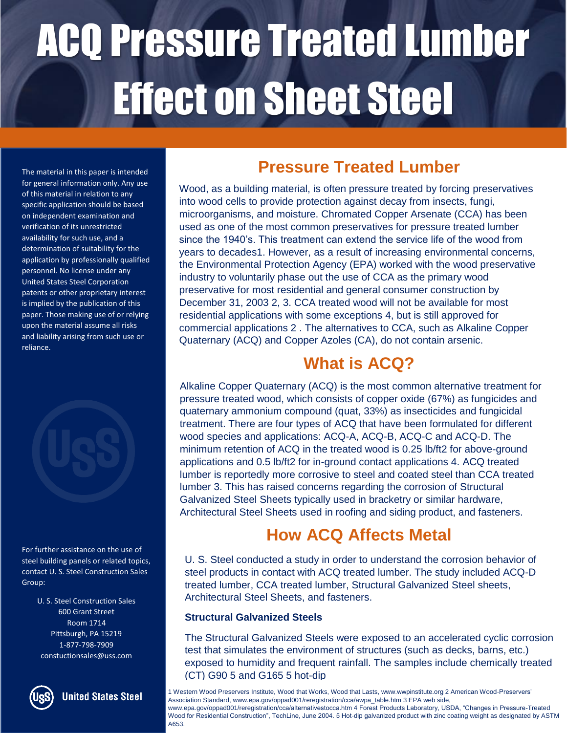The material in this paper is intended for general information only. Any use of this material in relation to any specific application should be based on independent examination and verification of its unrestricted availability for such use, and a determination of suitability for the application by professionally qualified personnel. No license under any United States Steel Corporation patents or other proprietary interest is implied by the publication of this paper. Those making use of or relying upon the material assume all risks and liability arising from such use or reliance.



For further assistance on the use of steel building panels or related topics, contact U. S. Steel Construction Sales Group:

> U. S. Steel Construction Sales 600 Grant Street Room 1714 Pittsburgh, PA 15219 1-877-798-7909 constuctionsales@uss.com



**United States Steel** 

### **Pressure Treated Lumber**

Wood, as a building material, is often pressure treated by forcing preservatives into wood cells to provide protection against decay from insects, fungi, microorganisms, and moisture. Chromated Copper Arsenate (CCA) has been used as one of the most common preservatives for pressure treated lumber since the 1940's. This treatment can extend the service life of the wood from years to decades1. However, as a result of increasing environmental concerns, the Environmental Protection Agency (EPA) worked with the wood preservative industry to voluntarily phase out the use of CCA as the primary wood preservative for most residential and general consumer construction by December 31, 2003 2, 3. CCA treated wood will not be available for most residential applications with some exceptions 4, but is still approved for commercial applications 2 . The alternatives to CCA, such as Alkaline Copper Quaternary (ACQ) and Copper Azoles (CA), do not contain arsenic.

### **What is ACQ?**

Alkaline Copper Quaternary (ACQ) is the most common alternative treatment for pressure treated wood, which consists of copper oxide (67%) as fungicides and quaternary ammonium compound (quat, 33%) as insecticides and fungicidal treatment. There are four types of ACQ that have been formulated for different wood species and applications: ACQ-A, ACQ-B, ACQ-C and ACQ-D. The minimum retention of ACQ in the treated wood is 0.25 lb/ft2 for above-ground applications and 0.5 lb/ft2 for in-ground contact applications 4. ACQ treated lumber is reportedly more corrosive to steel and coated steel than CCA treated lumber 3. This has raised concerns regarding the corrosion of Structural Galvanized Steel Sheets typically used in bracketry or similar hardware, Architectural Steel Sheets used in roofing and siding product, and fasteners.

### **How ACQ Affects Metal**

U. S. Steel conducted a study in order to understand the corrosion behavior of steel products in contact with ACQ treated lumber. The study included ACQ-D treated lumber, CCA treated lumber, Structural Galvanized Steel sheets, Architectural Steel Sheets, and fasteners.

#### **Structural Galvanized Steels**

The Structural Galvanized Steels were exposed to an accelerated cyclic corrosion test that simulates the environment of structures (such as decks, barns, etc.) exposed to humidity and frequent rainfall. The samples include chemically treated (CT) G90 5 and G165 5 hot-dip

1 Western Wood Preservers Institute, Wood that Works, Wood that Lasts, www.wwpinstitute.org 2 American Wood-Preservers' Association Standard, www.epa.gov/oppad001/reregistration/cca/awpa\_table.htm 3 EPA web side, www.epa.gov/oppad001/reregistration/cca/alternativestocca.htm 4 Forest Products Laboratory, USDA, "Changes in Pressure-Treated Wood for Residential Construction", TechLine, June 2004. 5 Hot-dip galvanized product with zinc coating weight as designated by ASTM A653.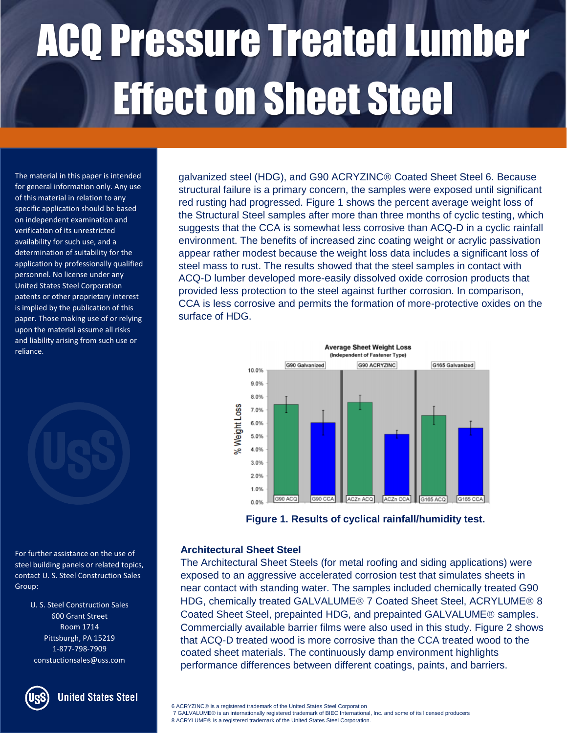The material in this paper is intended for general information only. Any use of this material in relation to any specific application should be based on independent examination and verification of its unrestricted availability for such use, and a determination of suitability for the application by professionally qualified personnel. No license under any United States Steel Corporation patents or other proprietary interest is implied by the publication of this paper. Those making use of or relying upon the material assume all risks and liability arising from such use or reliance.

For further assistance on the use of steel building panels or related topics, contact U. S. Steel Construction Sales Group:

> U. S. Steel Construction Sales 600 Grant Street Room 1714 Pittsburgh, PA 15219 1-877-798-7909 constuctionsales@uss.com



**United States Steel** 

galvanized steel (HDG), and G90 ACRYZINC<sup>®</sup> Coated Sheet Steel 6. Because structural failure is a primary concern, the samples were exposed until significant red rusting had progressed. Figure 1 shows the percent average weight loss of the Structural Steel samples after more than three months of cyclic testing, which suggests that the CCA is somewhat less corrosive than ACQ-D in a cyclic rainfall environment. The benefits of increased zinc coating weight or acrylic passivation appear rather modest because the weight loss data includes a significant loss of steel mass to rust. The results showed that the steel samples in contact with ACQ-D lumber developed more-easily dissolved oxide corrosion products that provided less protection to the steel against further corrosion. In comparison, CCA is less corrosive and permits the formation of more-protective oxides on the surface of HDG.



**Figure 1. Results of cyclical rainfall/humidity test.**

#### **Architectural Sheet Steel**

The Architectural Sheet Steels (for metal roofing and siding applications) were exposed to an aggressive accelerated corrosion test that simulates sheets in near contact with standing water. The samples included chemically treated G90 HDG, chemically treated GALVALUME<sup>®</sup> 7 Coated Sheet Steel, ACRYLUME<sup>®</sup> 8 Coated Sheet Steel, prepainted HDG, and prepainted GALVALUME<sup>®</sup> samples. Commercially available barrier films were also used in this study. Figure 2 shows that ACQ-D treated wood is more corrosive than the CCA treated wood to the coated sheet materials. The continuously damp environment highlights performance differences between different coatings, paints, and barriers.

6 ACRYZINC is a registered trademark of the United States Steel Corporation

7 GALVALUME® is an internationally registered trademark of BIEC International, Inc. and some of its licensed producers 8 ACRYLUME<sup>®</sup> is a registered trademark of the United States Steel Corporation.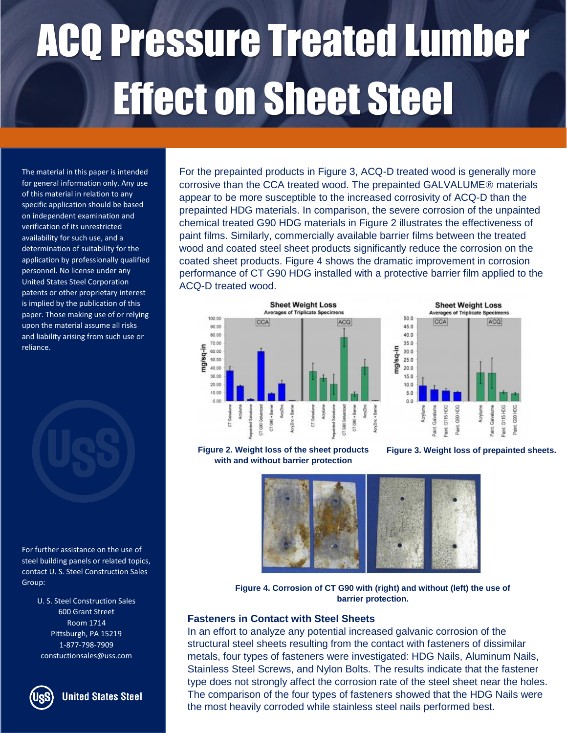The material in this paper is intended for general information only. Any use of this material in relation to any specific application should be based on independent examination and verification of its unrestricted availability for such use, and a determination of suitability for the application by professionally qualified personnel. No license under any United States Steel Corporation patents or other proprietary interest is implied by the publication of this paper. Those making use of or relying upon the material assume all risks and liability arising from such use or reliance.

For further assistance on the use of steel building panels or related topics, contact U. S. Steel Construction Sales Group:

> U. S. Steel Construction Sales 600 Grant Street Room 1714 Pittsburgh, PA 15219 1-877-798-7909 constuctionsales@uss.com



**United States Steel** 

For the prepainted products in Figure 3, ACQ-D treated wood is generally more corrosive than the CCA treated wood. The prepainted GALVALUME<sup>®</sup> materials appear to be more susceptible to the increased corrosivity of ACQ-D than the prepainted HDG materials. In comparison, the severe corrosion of the unpainted chemical treated G90 HDG materials in Figure 2 illustrates the effectiveness of paint films. Similarly, commercially available barrier films between the treated wood and coated steel sheet products significantly reduce the corrosion on the coated sheet products. Figure 4 shows the dramatic improvement in corrosion performance of CT G90 HDG installed with a protective barrier film applied to the ACQ-D treated wood.





**Figure 2. Weight loss of the sheet products with and without barrier protection**

**Figure 3. Weight loss of prepainted sheets.**



**Figure 4. Corrosion of CT G90 with (right) and without (left) the use of barrier protection.**

#### **Fasteners in Contact with Steel Sheets**

In an effort to analyze any potential increased galvanic corrosion of the structural steel sheets resulting from the contact with fasteners of dissimilar metals, four types of fasteners were investigated: HDG Nails, Aluminum Nails, Stainless Steel Screws, and Nylon Bolts. The results indicate that the fastener type does not strongly affect the corrosion rate of the steel sheet near the holes. The comparison of the four types of fasteners showed that the HDG Nails were the most heavily corroded while stainless steel nails performed best.